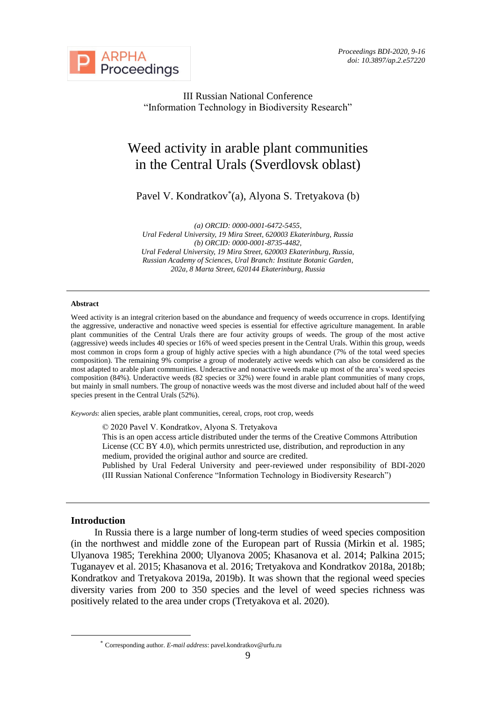

III Russian National Conference "Information Technology in Biodiversity Research"

# Weed activity in arable plant communities in the Central Urals (Sverdlovsk oblast)

Pavel V. Kondratkov<sup>\*</sup>(a), Alyona S. Tretyakova (b)

*(a) ORCID: 0000-0001-6472-5455, Ural Federal University, 19 Mira Street, 620003 Ekaterinburg, Russia (b) ORCID: 0000-0001-8735-4482, Ural Federal University, 19 Mira Street, 620003 Ekaterinburg, Russia, Russian Academy of Sciences, Ural Branch: Institute Botanic Garden, 202a, 8 Marta Street, 620144 Ekaterinburg, Russia*

#### **Abstract**

Weed activity is an integral criterion based on the abundance and frequency of weeds occurrence in crops. Identifying the aggressive, underactive and nonactive weed species is essential for effective agriculture management. In arable plant communities of the Central Urals there are four activity groups of weeds. The group of the most active (aggressive) weeds includes 40 species or 16% of weed species present in the Central Urals. Within this group, weeds most common in crops form a group of highly active species with a high abundance (7% of the total weed species composition). The remaining 9% comprise a group of moderately active weeds which can also be considered as the most adapted to arable plant communities. Underactive and nonactive weeds make up most of the area's weed species composition (84%). Underactive weeds (82 species or 32%) were found in arable plant communities of many crops, but mainly in small numbers. The group of nonactive weeds was the most diverse and included about half of the weed species present in the Central Urals (52%).

*Keywords*: alien species, arable plant communities, cereal, crops, root crop, weeds

© 2020 Pavel V. Kondratkov, Alyona S. Tretyakova

This is an open access article distributed under the terms of the Creative Commons Attribution License (CC BY 4.0), which permits unrestricted use, distribution, and reproduction in any medium, provided the original author and source are credited.

Published by Ural Federal University and peer-reviewed under responsibility of BDI-2020 (III Russian National Conference "Information Technology in Biodiversity Research")

#### **Introduction**

In Russia there is a large number of long-term studies of weed species composition (in the northwest and middle zone of the European part of Russia (Mirkin et al. 1985; Ulyanova 1985; Terekhina 2000; Ulyanova 2005; Khasanova et al. 2014; Palkina 2015; Tuganayev et al. 2015; Khasanova et al. 2016; Tretyakova and Kondratkov 2018a, 2018b; Kondratkov and Tretyakova 2019a, 2019b). It was shown that the regional weed species diversity varies from 200 to 350 species and the level of weed species richness was positively related to the area under crops (Tretyakova et al. 2020).

<sup>\*</sup> Corresponding author. *E-mail address*: pavel.kondratkov@urfu.ru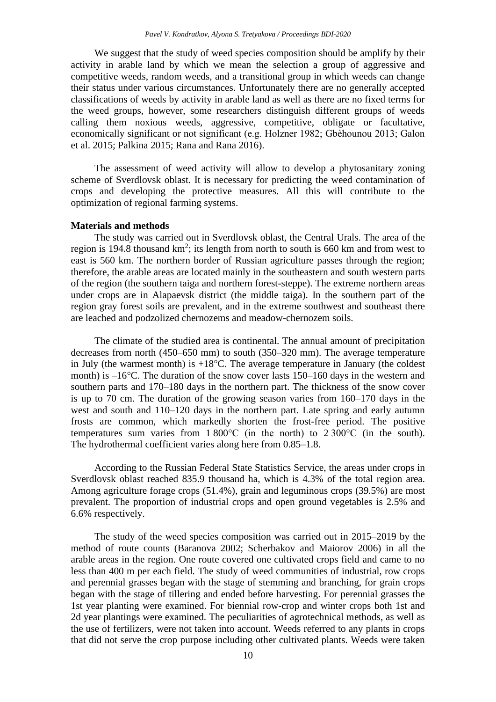We suggest that the study of weed species composition should be amplify by their activity in arable land by which we mean the selection a group of aggressive and competitive weeds, random weeds, and a transitional group in which weeds can change their status under various circumstances. Unfortunately there are no generally accepted classifications of weeds by activity in arable land as well as there are no fixed terms for the weed groups, however, some researchers distinguish different groups of weeds calling them noxious weeds, aggressive, competitive, obligate or facultative, economically significant or not significant (e.g. Holzner 1982; Gbèhounou 2013; Galon et al. 2015; Palkina 2015; Rana and Rana 2016).

The assessment of weed activity will allow to develop a phytosanitary zoning scheme of Sverdlovsk oblast. It is necessary for predicting the weed contamination of crops and developing the protective measures. All this will contribute to the optimization of regional farming systems.

#### **Materials and methods**

The study was carried out in Sverdlovsk oblast, the Central Urals. The area of the region is 194.8 thousand  $km^2$ ; its length from north to south is 660 km and from west to east is 560 km. The northern border of Russian agriculture passes through the region; therefore, the arable areas are located mainly in the southeastern and south western parts of the region (the southern taiga and northern forest-steppe). The extreme northern areas under crops are in Alapaevsk district (the middle taiga). In the southern part of the region gray forest soils are prevalent, and in the extreme southwest and southeast there are leached and podzolized chernozems and meadow-chernozem soils.

The climate of the studied area is continental. The annual amount of precipitation decreases from north (450–650 mm) to south (350–320 mm). The average temperature in July (the warmest month) is  $+18^{\circ}$ C. The average temperature in January (the coldest month) is –16°C. The duration of the snow cover lasts 150–160 days in the western and southern parts and 170–180 days in the northern part. The thickness of the snow cover is up to 70 cm. The duration of the growing season varies from 160–170 days in the west and south and 110–120 days in the northern part. Late spring and early autumn frosts are common, which markedly shorten the frost-free period. The positive temperatures sum varies from 1 800°C (in the north) to 2 300°C (in the south). The hydrothermal coefficient varies along here from 0.85–1.8.

According to the Russian Federal State Statistics Service, the areas under crops in Sverdlovsk oblast reached 835.9 thousand ha, which is 4.3% of the total region area. Among agriculture forage crops (51.4%), grain and leguminous crops (39.5%) are most prevalent. The proportion of industrial crops and open ground vegetables is 2.5% and 6.6% respectively.

The study of the weed species composition was carried out in 2015–2019 by the method of route counts (Baranova 2002; Scherbakov and Maiorov 2006) in all the arable areas in the region. One route covered one cultivated crops field and came to no less than 400 m per each field. The study of weed communities of industrial, row crops and perennial grasses began with the stage of stemming and branching, for grain crops began with the stage of tillering and ended before harvesting. For perennial grasses the 1st year planting were examined. For biennial row-crop and winter crops both 1st and 2d year plantings were examined. The peculiarities of agrotechnical methods, as well as the use of fertilizers, were not taken into account. Weeds referred to any plants in crops that did not serve the crop purpose including other cultivated plants. Weeds were taken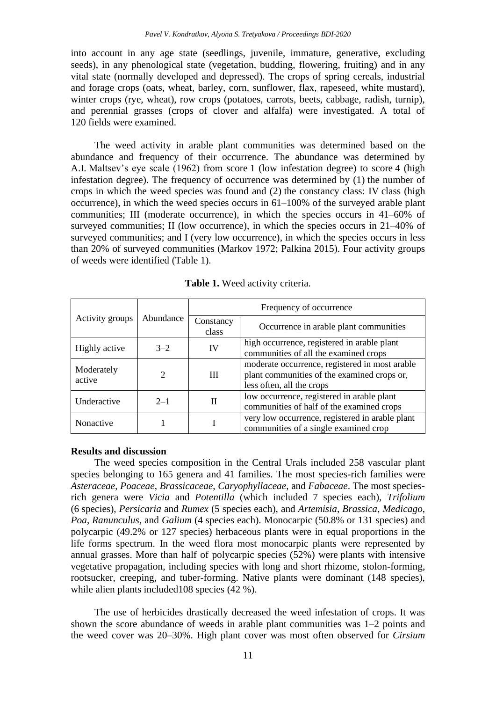into account in any age state (seedlings, juvenile, immature, generative, excluding seeds), in any phenological state (vegetation, budding, flowering, fruiting) and in any vital state (normally developed and depressed). The crops of spring cereals, industrial and forage crops (oats, wheat, barley, corn, sunflower, flax, rapeseed, white mustard), winter crops (rye, wheat), row crops (potatoes, carrots, beets, cabbage, radish, turnip), and perennial grasses (crops of clover and alfalfa) were investigated. A total of 120 fields were examined.

The weed activity in arable plant communities was determined based on the abundance and frequency of their occurrence. The abundance was determined by A.I. Maltsev's eye scale (1962) from score 1 (low infestation degree) to score 4 (high infestation degree). The frequency of occurrence was determined by (1) the number of crops in which the weed species was found and (2) the constancy class: IV class (high occurrence), in which the weed species occurs in 61–100% of the surveyed arable plant communities; III (moderate occurrence), in which the species occurs in 41–60% of surveyed communities; II (low occurrence), in which the species occurs in 21–40% of surveyed communities; and I (very low occurrence), in which the species occurs in less than 20% of surveyed communities (Markov 1972; Palkina 2015). Four activity groups of weeds were identified (Table 1).

| Activity groups      | Abundance     | Frequency of occurrence |                                                                                                                            |  |  |
|----------------------|---------------|-------------------------|----------------------------------------------------------------------------------------------------------------------------|--|--|
|                      |               | Constancy<br>class      | Occurrence in arable plant communities                                                                                     |  |  |
| Highly active        | $3 - 2$       | IV                      | high occurrence, registered in arable plant<br>communities of all the examined crops                                       |  |  |
| Moderately<br>active | $\mathcal{D}$ | Ш                       | moderate occurrence, registered in most arable<br>plant communities of the examined crops or,<br>less often, all the crops |  |  |
| Underactive          | $2 - 1$       | $\mathbf{H}$            | low occurrence, registered in arable plant<br>communities of half of the examined crops                                    |  |  |
| Nonactive            |               |                         | very low occurrence, registered in arable plant<br>communities of a single examined crop                                   |  |  |

**Table 1.** Weed activity criteria.

### **Results and discussion**

The weed species composition in the Central Urals included 258 vascular plant species belonging to 165 genera and 41 families. The most species-rich families were *Asteraceae*, *Poaceae*, *Brassicaceae*, *Caryophyllaceae*, and *Fabaceae*. The most speciesrich genera were *Vicia* and *Potentilla* (which included 7 species each), *Trifolium* (6 species), *Persicaria* and *Rumex* (5 species each), and *Artemisia*, *Brassica*, *Medicago*, *Poa*, *Ranunculus,* and *Galium* (4 species each). Monocarpic (50.8% or 131 species) and polycarpic (49.2% or 127 species) herbaceous plants were in equal proportions in the life forms spectrum. In the weed flora most monocarpic plants were represented by annual grasses. More than half of polycarpic species (52%) were plants with intensive vegetative propagation, including species with long and short rhizome, stolon-forming, rootsucker, creeping, and tuber-forming. Native plants were dominant (148 species), while alien plants included 108 species (42 %).

The use of herbicides drastically decreased the weed infestation of crops. It was shown the score abundance of weeds in arable plant communities was 1–2 points and the weed cover was 20–30%. High plant cover was most often observed for *Cirsium*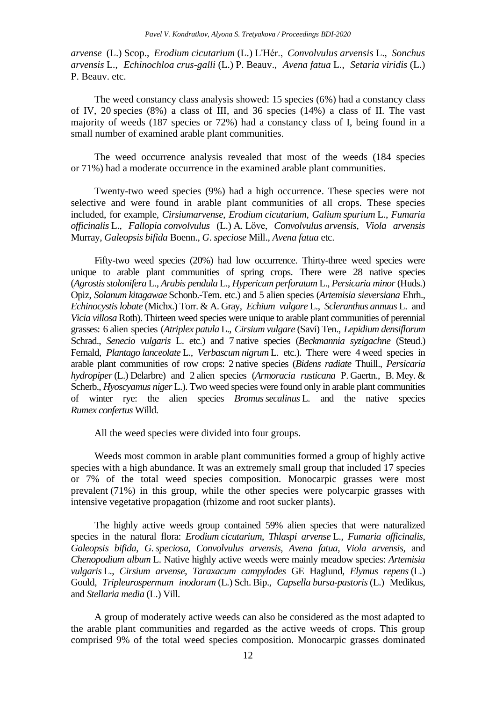*arvense* (L.) Scop., *Erodium cicutarium* (L.) L'Hér., *Convolvulus arvensis* L., *Sonchus arvensis* L., *Echinochloa crus*-*galli* (L.) P. Beauv., *Avena fatua* L., *Setaria viridis* (L.) P. Beauv. etc.

The weed constancy class analysis showed: 15 species (6%) had a constancy class of IV, 20 species (8%) a class of III, and 36 species (14%) a class of II. The vast majority of weeds (187 species or 72%) had a constancy class of I, being found in a small number of examined arable plant communities.

The weed occurrence analysis revealed that most of the weeds (184 species or 71%) had a moderate occurrence in the examined arable plant communities.

Twenty-two weed species (9%) had a high occurrence. These species were not selective and were found in arable plant communities of all crops. These species included, for example, *Cirsiumarvense*, *Erodium cicutarium*, *Galium spurium* L., *Fumaria officinalis* L., *Fallopia convolvulus* (L.) A. Löve, *Convolvulus arvensis*, *Viola arvensis* Murray, *Galeopsis bifida* Boenn., *G*. *speciose* Mill., *Avena fatua* etc.

Fifty-two weed species (20%) had low occurrence. Thirty-three weed species were unique to arable plant communities of spring crops. There were 28 native species (*Agrostisstolonifera* L., *Arabis pendula* L., *Hypericum perforatum* L., *Persicaria minor*(Huds.) Opiz, *Solanum kitagawae* Schonb.-Tem. etc.) and 5 alien species (*Artemisia sieversiana* Ehrh., *Echinocystislobate* (Michx.) Torr. & A. Gray, *Echium vulgare* L., *Scleranthus annuus* L. and *Vicia villosa* Roth). Thirteen weed species were unique to arable plant communities of perennial grasses: 6 alien species (*Atriplex patula* L., *Cirsium vulgare* (Savi) Ten., *Lepidium densiflorum* Schrad., *Senecio vulgaris* L. etc.) and 7 native species (*Beckmannia syzigachne* (Steud.) Fernald, *Plantago lanceolate* L., *Verbascum nigrum* L. etc.). There were 4 weed species in arable plant communities of row crops: 2 native species (*Bidens radiate* Thuill., *Persicaria hydropiper*(L.) Delarbre) and 2 alien species (*Armoracia rusticana* P. Gaertn., B. Mey. & Scherb., *Hyoscyamus niger* L.). Two weed species were found only in arable plant communities of winter rye: the alien species *Bromussecalinus* L. and the native species *Rumex confertus* Willd.

All the weed species were divided into four groups.

Weeds most common in arable plant communities formed a group of highly active species with a high abundance. It was an extremely small group that included 17 species or 7% of the total weed species composition. Monocarpic grasses were most prevalent (71%) in this group, while the other species were polycarpic grasses with intensive vegetative propagation (rhizome and root sucker plants).

The highly active weeds group contained 59% alien species that were naturalized species in the natural flora: *Erodium cicutarium*, *Thlaspi arvense* L., *Fumaria officinalis*, *Galeopsis bifida*, *G*. *speciosa*, *Convolvulus arvensis*, *Avena fatua*, *Viola arvensis*, and *Chenopodium album* L. Native highly active weeds were mainly meadow species: *Artemisia vulgaris* L., *Cirsium arvense*, *Taraxacum campylodes* GE Haglund, *Elymus repens* (L.) Gould, *Tripleurospermum inodorum* (L.) Sch. Bip., *Capsella bursa*-*pastoris* (L.) Medikus, and *Stellaria media* (L.) Vill.

A group of moderately active weeds can also be considered as the most adapted to the arable plant communities and regarded as the active weeds of crops. This group comprised 9% of the total weed species composition. Monocarpic grasses dominated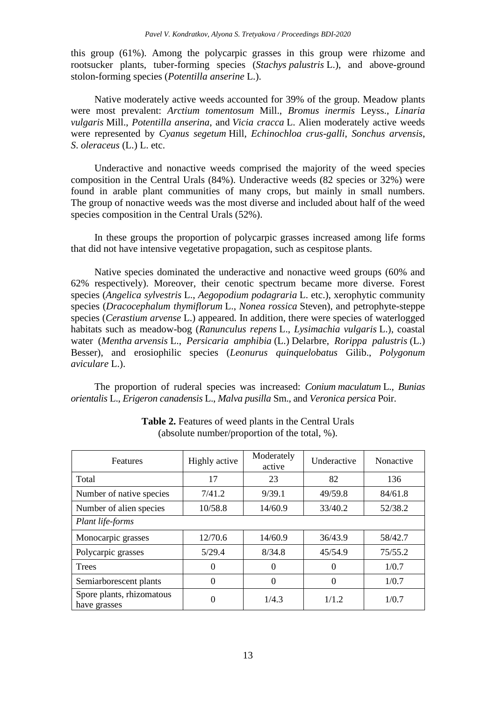this group (61%). Among the polycarpic grasses in this group were rhizome and rootsucker plants, tuber-forming species (*Stachys palustris* L.), and above-ground stolon-forming species (*Potentilla anserine* L.).

Native moderately active weeds accounted for 39% of the group. Meadow plants were most prevalent: *Arctium tomentosum* Mill., *Bromus inermis* Leyss., *Linaria vulgaris* Mill., *Potentilla anserina*, and *Vicia cracca* L. Alien moderately active weeds were represented by *Cyanus segetum* Hill, *Echinochloa crus*-*galli*, *Sonchus arvensis*, *S*. *oleraceus* (L.) L. etc.

Underactive and nonactive weeds comprised the majority of the weed species composition in the Central Urals (84%). Underactive weeds (82 species or 32%) were found in arable plant communities of many crops, but mainly in small numbers. The group of nonactive weeds was the most diverse and included about half of the weed species composition in the Central Urals (52%).

In these groups the proportion of polycarpic grasses increased among life forms that did not have intensive vegetative propagation, such as cespitose plants.

Native species dominated the underactive and nonactive weed groups (60% and 62% respectively). Moreover, their cenotic spectrum became more diverse. Forest species (*Angelica sylvestris* L., *Aegopodium podagraria* L. etc.), xerophytic community species (*Dracocephalum thymiflorum* L., *Nonea rossica* Steven), and petrophyte-steppe species (*Cerastium arvense* L.) appeared. In addition, there were species of waterlogged habitats such as meadow-bog (*Ranunculus repens* L., *Lysimachia vulgaris* L.), coastal water (*Mentha arvensis* L., *Persicaria amphibia* (L.) Delarbre, *Rorippa palustris* (L.) Besser), and erosiophilic species (*Leonurus quinquelobatus* Gilib., *Polygonum aviculare* L.).

The proportion of ruderal species was increased: *Conium maculatum* L., *Bunias orientalis* L., *Erigeron canadensis* L., *Malva pusilla* Sm., and *Veronica persica* Poir.

| <b>Features</b>                           | Highly active | Moderately<br>active | Underactive | Nonactive |  |  |  |
|-------------------------------------------|---------------|----------------------|-------------|-----------|--|--|--|
| Total                                     | 17            | 23                   | 82          | 136       |  |  |  |
| Number of native species                  | 7/41.2        | 9/39.1               | 49/59.8     | 84/61.8   |  |  |  |
| Number of alien species                   | 10/58.8       | 14/60.9              | 33/40.2     | 52/38.2   |  |  |  |
| Plant life-forms                          |               |                      |             |           |  |  |  |
| Monocarpic grasses                        | 12/70.6       | 14/60.9              | 36/43.9     | 58/42.7   |  |  |  |
| Polycarpic grasses                        | 5/29.4        | 8/34.8               | 45/54.9     | 75/55.2   |  |  |  |
| <b>Trees</b>                              | 0             | $\Omega$             |             | 1/0.7     |  |  |  |
| Semiarborescent plants                    | 0             | $\Omega$             | $\theta$    | 1/0.7     |  |  |  |
| Spore plants, rhizomatous<br>have grasses | 0             | 1/4.3                | 1/1.2       | 1/0.7     |  |  |  |

**Table 2.** Features of weed plants in the Central Urals (absolute number/proportion of the total, %).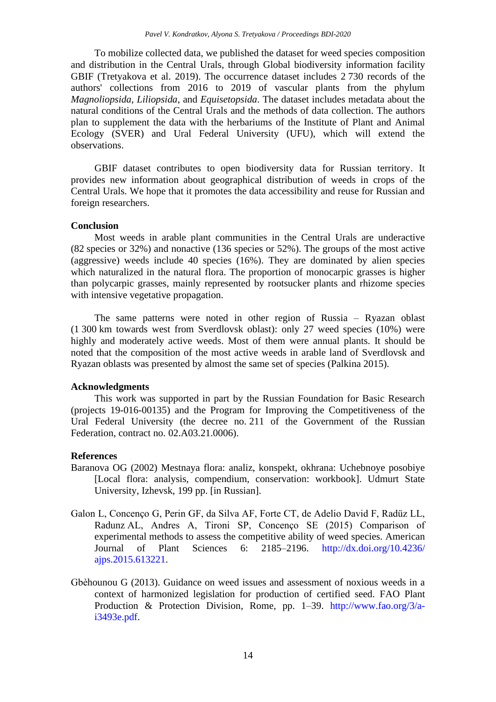To mobilize collected data, we published the dataset for weed species composition and distribution in the Central Urals, through Global biodiversity information facility GBIF (Tretyakova et al. 2019). The occurrence dataset includes 2 730 records of the authors' collections from 2016 to 2019 of vascular plants from the phylum *Magnoliopsida*, *Liliopsida*, and *Equisetopsida*. The dataset includes metadata about the natural conditions of the Central Urals and the methods of data collection. The authors plan to supplement the data with the herbariums of the Institute of Plant and Animal Ecology (SVER) and Ural Federal University (UFU), which will extend the observations.

GBIF dataset contributes to open biodiversity data for Russian territory. It provides new information about geographical distribution of weeds in crops of the Central Urals. We hope that it promotes the data accessibility and reuse for Russian and foreign researchers.

### **Conclusion**

Most weeds in arable plant communities in the Central Urals are underactive (82 species or 32%) and nonactive (136 species or 52%). The groups of the most active (aggressive) weeds include 40 species (16%). They are dominated by alien species which naturalized in the natural flora. The proportion of monocarpic grasses is higher than polycarpic grasses, mainly represented by rootsucker plants and rhizome species with intensive vegetative propagation.

The same patterns were noted in other region of Russia – Ryazan oblast (1 300 km towards west from Sverdlovsk oblast): only 27 weed species (10%) were highly and moderately active weeds. Most of them were annual plants. It should be noted that the composition of the most active weeds in arable land of Sverdlovsk and Ryazan oblasts was presented by almost the same set of species (Palkina 2015).

# **Acknowledgments**

This work was supported in part by the Russian Foundation for Basic Research (projects 19-016-00135) and the Program for Improving the Competitiveness of the Ural Federal University (the decree no. 211 of the Government of the Russian Federation, contract no. 02.A03.21.0006).

# **References**

- Baranova OG (2002) Mestnaya flora: analiz, konspekt, okhrana: Uchebnoye posobiye [Local flora: analysis, compendium, conservation: workbook]. Udmurt State University, Izhevsk, 199 pp. [in Russian].
- Galon L, Concenço G, Perin GF, da Silva AF, Forte CT, de Adelio David F, Radüz LL, Radunz AL, Andres A, Tironi SP, Concenço SE (2015) Comparison of experimental methods to assess the competitive ability of weed species. American Journal of Plant Sciences 6: 2185–2196. [http://dx.doi.org/10.4236/](http://dx.doi.org/10.4236/%20ajps.2015.613221)  [ajps.2015.613221.](http://dx.doi.org/10.4236/%20ajps.2015.613221)
- Gbèhounou G (2013). Guidance on weed issues and assessment of noxious weeds in a context of harmonized legislation for production of certified seed. FAO Plant Production & Protection Division, Rome, pp. 1–39. [http://www.fao.org/3/a](http://www.fao.org/3/a-i3493e.pdf)[i3493e.pdf.](http://www.fao.org/3/a-i3493e.pdf)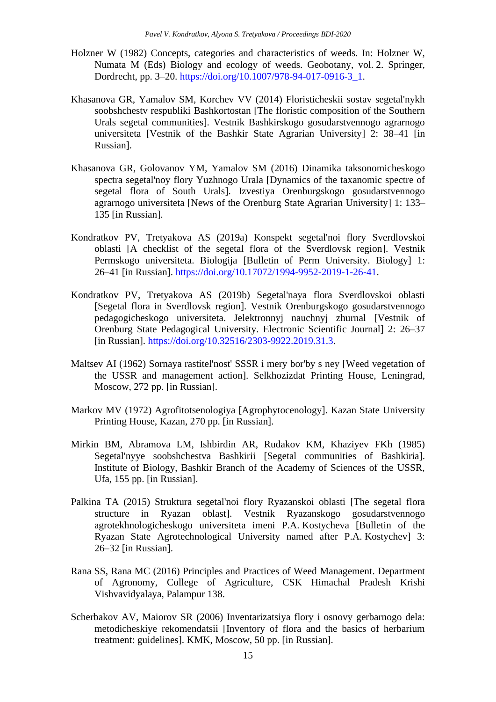- Holzner W (1982) Concepts, categories and characteristics of weeds. In: Holzner W, Numata M (Eds) Biology and ecology of weeds. Geobotany, vol. 2. Springer, Dordrecht, pp. 3–20. [https://doi.org/10.1007/978-94-017-0916-3\\_1.](https://doi.org/10.1007/978-94-017-0916-3_1)
- Khasanova GR, Yamalov SM, Korchev VV (2014) Floristicheskii sostav segetal'nykh soobshchestv respubliki Bashkortostan [The floristic composition of the Southern Urals segetal communities]. Vestnik Bashkirskogo gosudarstvennogo agrarnogo universiteta [Vestnik of the Bashkir State Agrarian University] 2: 38–41 [in Russian].
- Khasanova GR, Golovanov YM, Yamalov SM (2016) Dinamika taksonomicheskogo spectra segetal'noy flory Yuzhnogo Urala [Dynamics of the taxanomic spectre of segetal flora of South Urals]. Izvestiya Orenburgskogo gosudarstvennogo agrarnogo universiteta [News of the Orenburg State Agrarian University] 1: 133– 135 [in Russian].
- Kondratkov PV, Tretyakova AS (2019a) Konspekt segetal'noi flory Sverdlovskoi oblasti [A checklist of the segetal flora of the Sverdlovsk region]. Vestnik Permskogo universiteta. Biologija [Bulletin of Perm University. Biology] 1: 26–41 [in Russian]. [https://doi.org/10.17072/1994-9952-2019-1-26-41.](https://doi.org/10.17072/1994-9952-2019-1-26-41)
- Kondratkov PV, Tretyakova AS (2019b) Segetal'naya flora Sverdlovskoi oblasti [Segetal flora in Sverdlovsk region]. Vestnik Orenburgskogo gosudarstvennogo pedagogicheskogo universiteta. Jelektronnyj nauchnyj zhurnal [Vestnik of Orenburg State Pedagogical University. Electronic Scientific Journal] 2: 26–37 [in Russian]. [https://doi.org/10.32516/2303-9922.2019.31.3.](https://doi.org/10.32516/2303-9922.2019.31.3)
- Maltsev AI (1962) Sornaya rastitel'nost' SSSR i mery bor'by s ney [Weed vegetation of the USSR and management action]. Selkhozizdat Printing House, Leningrad, Moscow, 272 pp. [in Russian].
- Markov MV (1972) Agrofitotsenologiya [Agrophytocenology]. Kazan State University Printing House, Kazan, 270 pp. [in Russian].
- Mirkin BM, Abramova LM, Ishbirdin AR, Rudakov KM, Khaziyev FKh (1985) Segetal'nyye soobshchestva Bashkirii [Segetal communities of Bashkiria]. Institute of Biology, Bashkir Branch of the Academy of Sciences of the USSR, Ufa, 155 pp. [in Russian].
- Palkina TA (2015) Struktura segetal'noi flory Ryazanskoi oblasti [The segetal flora structure in Ryazan oblast]. Vestnik Ryazanskogo gosudarstvennogo agrotekhnologicheskogo universiteta imeni P.A. Kostycheva [Bulletin of the Ryazan State Agrotechnological University named after P.A. Kostychev] 3: 26–32 [in Russian].
- Rana SS, Rana MC (2016) Principles and Practices of Weed Management. Department of Agronomy, College of Agriculture, CSK Himachal Pradesh Krishi Vishvavidyalaya, Palampur 138.
- Scherbakov AV, Maiorov SR (2006) Inventarizatsiya flory i osnovy gerbarnogo dela: metodicheskiye rekomendatsii [Inventory of flora and the basics of herbarium treatment: guidelines]. KMK, Moscow, 50 pp. [in Russian].